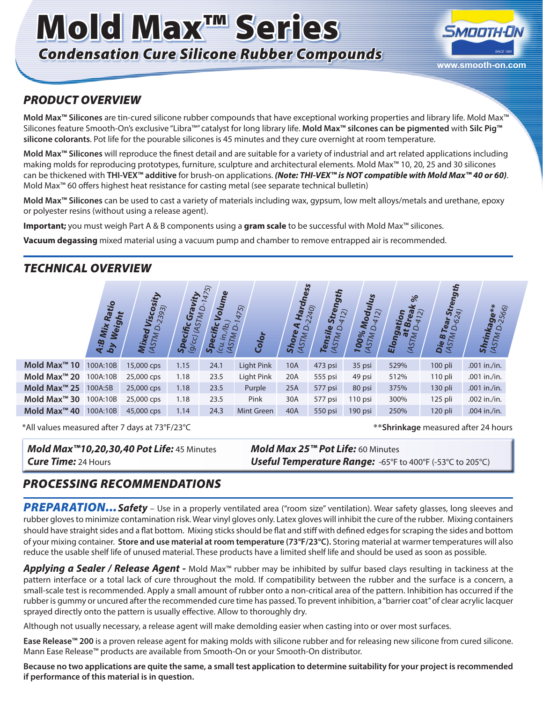# Mold Max<sup>™</sup> Series *Condensation Cure Silicone Rubber Compounds*



## *PRODUCT OVERVIEW*

**Mold Max™ Silicones** are tin-cured silicone rubber compounds that have exceptional working properties and library life. Mold Max™ Silicones feature Smooth-On's exclusive "Libra™" catalyst for long library life. **Mold Max™ silcones can be pigmented** with **Silc Pig™ silicone colorants**. Pot life for the pourable silicones is 45 minutes and they cure overnight at room temperature.

**Mold Max™ Silicones** will reproduce the finest detail and are suitable for a variety of industrial and art related applications including making molds for reproducing prototypes, furniture, sculpture and architectural elements. Mold Max™ 10, 20, 25 and 30 silicones can be thickened with **THI-VEX™ additive** for brush-on applications. *(Note: THI-VEX™ is NOT compatible with Mold Max™ 40 or 60)*. Mold Max™ 60 offers highest heat resistance for casting metal (see separate technical bulletin)

**Mold Max™ Silicones** can be used to cast a variety of materials including wax, gypsum, low melt alloys/metals and urethane, epoxy or polyester resins (without using a release agent).

**Important;** you must weigh Part A & B components using a **gram scale** to be successful with Mold Max™ silicones.

**Vacuum degassing** mixed material using a vacuum pump and chamber to remove entrapped air is recommended.

# *TECHNICAL OVERVIEW*



\*All values measured after 7 days at 73°F/23°C \*\***Shrinkage** measured after 24 hours

# *Mold Max™10,20,30,40 Pot Life:* 45 Minutes *Mold Max 25™ Pot Life:* 60 Minutes

*Cure Time:* 24 Hours *Useful Temperature Range:* -65°F to 400°F (-53°C to 205°C)

# *PROCESSING RECOMMENDATIONS*

PREPARATION... Safety - Use in a properly ventilated area ("room size" ventilation). Wear safety glasses, long sleeves and rubber gloves to minimize contamination risk. Wear vinyl gloves only. Latex gloves will inhibit the cure of the rubber.Mixing containers should have straight sides and a flat bottom. Mixing sticks should be flat and stiff with defined edges for scraping the sides and bottom of your mixing container. **Store and use material at room temperature (73°F/23°C).** Storing material at warmer temperatures will also reduce the usable shelf life of unused material. These products have a limited shelf life and should be used as soon as possible.

**Mold Max™ 30** 100A:10B 25,000 cps 1.18 23.5 Pink 30A 577 psi 110 psi 300% 125 pli .002 in./in. **Mold Max™ 40** 100A:10B 45,000 cps 1.14 24.3 Mint Green 40A 550 psi 190 psi 250% 120 pli .004 in./in.

*Applying a Sealer / Release Agent -* Mold Max™ rubber may be inhibited by sulfur based clays resulting in tackiness at the pattern interface or a total lack of cure throughout the mold. If compatibility between the rubber and the surface is a concern, a small-scale test is recommended. Apply a small amount of rubber onto a non-critical area of the pattern. Inhibition has occurred if the rubber is gummy or uncured after the recommended cure time has passed. To prevent inhibition, a "barrier coat" of clear acrylic lacquer sprayed directly onto the pattern is usually effective. Allow to thoroughly dry.

Although not usually necessary, a release agent will make demolding easier when casting into or over most surfaces.

**Ease Release™ 200** is a proven release agent for making molds with silicone rubber and for releasing new silicone from cured silicone. Mann Ease Release™ products are available from Smooth-On or your Smooth-On distributor.

**Because no two applications are quite the same, a small test application to determine suitability for your project is recommended if performance of this material is in question.**